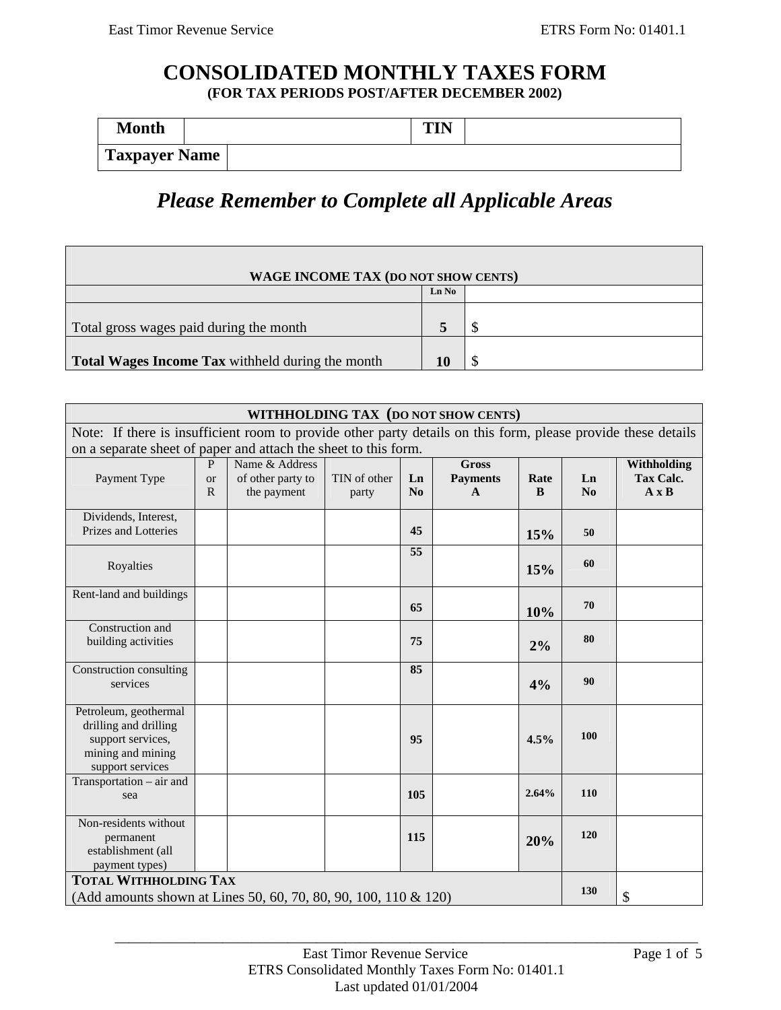Г

## **CONSOLIDATED MONTHLY TAXES FORM (FOR TAX PERIODS POST/AFTER DECEMBER 2002)**

| <b>Month</b>         |  |  | TIN'<br> |  |
|----------------------|--|--|----------|--|
| <b>Taxpayer Name</b> |  |  |          |  |

# *Please Remember to Complete all Applicable Areas*

| WAGE INCOME TAX (DO NOT SHOW CENTS)              |       |  |  |  |  |
|--------------------------------------------------|-------|--|--|--|--|
|                                                  | Ln No |  |  |  |  |
| Total gross wages paid during the month          |       |  |  |  |  |
| Total Wages Income Tax withheld during the month | 10    |  |  |  |  |

| WITHHOLDING TAX (DO NOT SHOW CENTS)                                                                           |                                |                                                    |                       |          |                                      |           |          |                                                 |
|---------------------------------------------------------------------------------------------------------------|--------------------------------|----------------------------------------------------|-----------------------|----------|--------------------------------------|-----------|----------|-------------------------------------------------|
| Note: If there is insufficient room to provide other party details on this form, please provide these details |                                |                                                    |                       |          |                                      |           |          |                                                 |
| on a separate sheet of paper and attach the sheet to this form.                                               |                                |                                                    |                       |          |                                      |           |          |                                                 |
| Payment Type                                                                                                  | $\mathbf{P}$<br><b>or</b><br>R | Name & Address<br>of other party to<br>the payment | TIN of other<br>party | Ln<br>No | <b>Gross</b><br><b>Payments</b><br>A | Rate<br>B | Ln<br>No | Withholding<br><b>Tax Calc.</b><br>$A \times B$ |
| Dividends, Interest,<br>Prizes and Lotteries                                                                  |                                |                                                    |                       | 45       |                                      | 15%       | 50       |                                                 |
| Royalties                                                                                                     |                                |                                                    |                       | 55       |                                      | 15%       | 60       |                                                 |
| Rent-land and buildings                                                                                       |                                |                                                    |                       | 65       |                                      | 10%       | 70       |                                                 |
| Construction and<br>building activities                                                                       |                                |                                                    |                       | 75       |                                      | 2%        | 80       |                                                 |
| Construction consulting<br>services                                                                           |                                |                                                    |                       | 85       |                                      | 4%        | 90       |                                                 |
| Petroleum, geothermal<br>drilling and drilling<br>support services,<br>mining and mining<br>support services  |                                |                                                    |                       | 95       |                                      | 4.5%      | 100      |                                                 |
| Transportation – air and<br>sea                                                                               |                                |                                                    |                       | 105      |                                      | 2.64%     | 110      |                                                 |
| Non-residents without<br>permanent<br>establishment (all<br>payment types)                                    |                                |                                                    |                       | 115      |                                      | 20%       | 120      |                                                 |
| <b>TOTAL WITHHOLDING TAX</b><br>(Add amounts shown at Lines 50, 60, 70, 80, 90, 100, 110 & 120)               |                                |                                                    |                       |          | 130                                  | \$        |          |                                                 |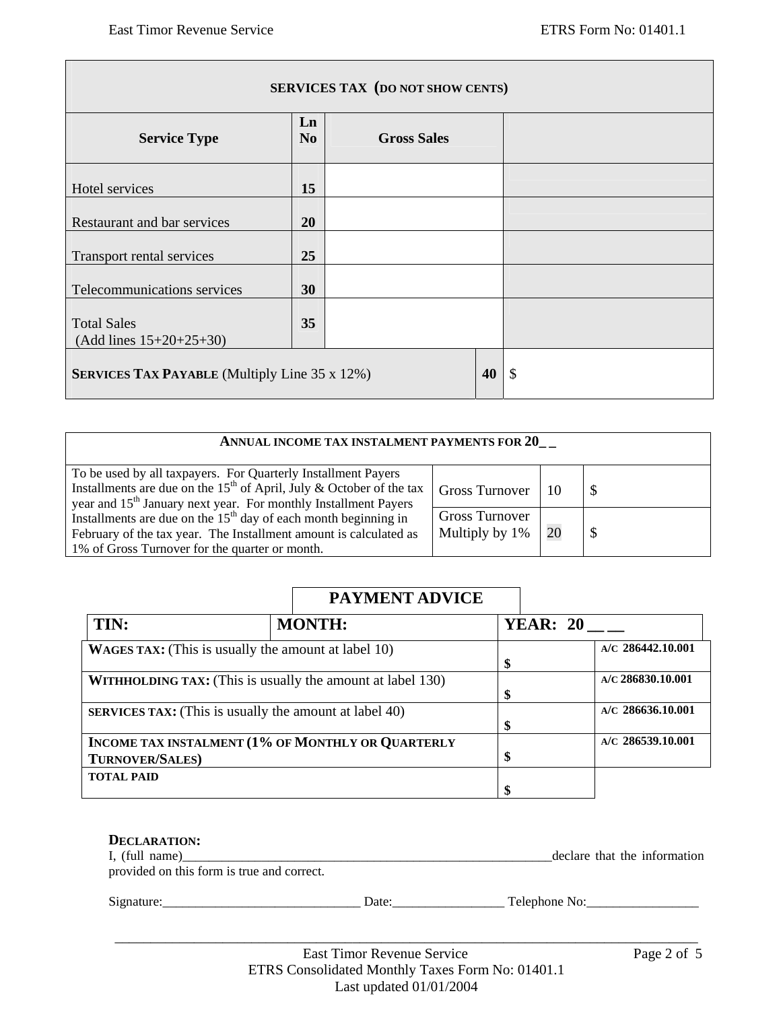| <b>SERVICES TAX (DO NOT SHOW CENTS)</b>              |                      |                    |  |  |  |
|------------------------------------------------------|----------------------|--------------------|--|--|--|
| <b>Service Type</b>                                  | Ln<br>N <sub>0</sub> | <b>Gross Sales</b> |  |  |  |
| Hotel services                                       | 15                   |                    |  |  |  |
| Restaurant and bar services                          | 20                   |                    |  |  |  |
| Transport rental services                            | 25                   |                    |  |  |  |
| Telecommunications services                          | 30                   |                    |  |  |  |
| <b>Total Sales</b><br>$(Add lines 15+20+25+30)$      | 35                   |                    |  |  |  |
| <b>SERVICES TAX PAYABLE</b> (Multiply Line 35 x 12%) | 40                   | \$                 |  |  |  |

| ANNUAL INCOME TAX INSTALMENT PAYMENTS FOR 20                                                                                                                                                                                     |                                         |    |  |  |  |
|----------------------------------------------------------------------------------------------------------------------------------------------------------------------------------------------------------------------------------|-----------------------------------------|----|--|--|--|
| To be used by all taxpayers. For Quarterly Installment Payers<br>Installments are due on the 15 <sup>th</sup> of April, July & October of the tax<br>year and 15 <sup>th</sup> January next year. For monthly Installment Payers | <b>Gross Turnover</b>                   |    |  |  |  |
| Installments are due on the $15th$ day of each month beginning in<br>February of the tax year. The Installment amount is calculated as<br>1% of Gross Turnover for the quarter or month.                                         | <b>Gross Turnover</b><br>Multiply by 1% | 20 |  |  |  |

# **PAYMENT ADVICE**

| TIN:                   | <b>MONTH:</b>                                                     | <b>YEAR: 20</b> |                     |
|------------------------|-------------------------------------------------------------------|-----------------|---------------------|
|                        | <b>WAGES TAX:</b> (This is usually the amount at label 10)        | \$              | $A/C$ 286442.10.001 |
|                        | <b>WITHHOLDING TAX:</b> (This is usually the amount at label 130) | \$              | $A/C$ 286830.10.001 |
|                        | <b>SERVICES TAX:</b> (This is usually the amount at label 40)     | \$              | $A/C$ 286636.10.001 |
| <b>TURNOVER/SALES)</b> | <b>INCOME TAX INSTALMENT (1% OF MONTHLY OR QUARTERLY</b>          | \$              | $A/C$ 286539.10.001 |
| <b>TOTAL PAID</b>      |                                                                   |                 |                     |

| DECLARATION:<br>I, (full name)<br>provided on this form is true and correct. |       | declare that the information |
|------------------------------------------------------------------------------|-------|------------------------------|
| Signature:                                                                   | Date: | Telephone No:                |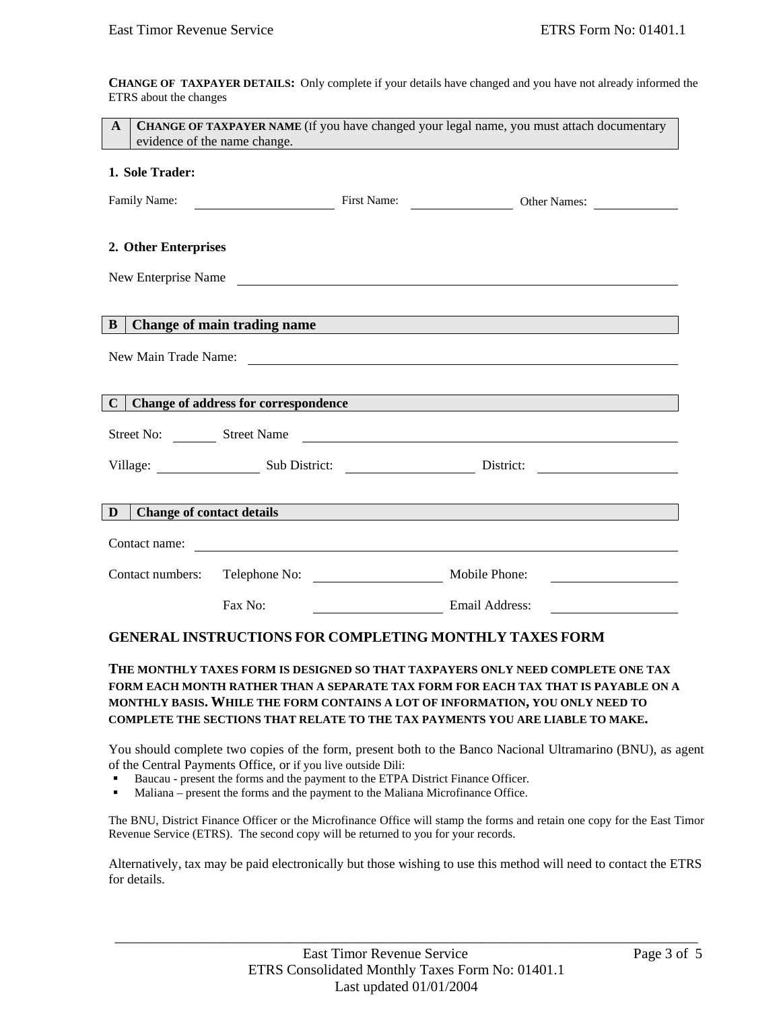**CHANGE OF TAXPAYER DETAILS:** Only complete if your details have changed and you have not already informed the ETRS about the changes

| <b>CHANGE OF TAXPAYER NAME</b> (If you have changed your legal name, you must attach documentary<br>$\mathbf{A}$<br>evidence of the name change.<br><u> 1989 - Johann Stein, Amerikaansk politiker (</u> |                                                                              |                |                                                                                             |  |  |
|----------------------------------------------------------------------------------------------------------------------------------------------------------------------------------------------------------|------------------------------------------------------------------------------|----------------|---------------------------------------------------------------------------------------------|--|--|
| 1. Sole Trader:                                                                                                                                                                                          |                                                                              |                |                                                                                             |  |  |
| Family Name: First Name: Other Names: Other Names:                                                                                                                                                       |                                                                              |                |                                                                                             |  |  |
| 2. Other Enterprises                                                                                                                                                                                     |                                                                              |                | New Enterprise Name                                                                         |  |  |
|                                                                                                                                                                                                          |                                                                              |                |                                                                                             |  |  |
| B                                                                                                                                                                                                        |                                                                              |                | Change of main trading name                                                                 |  |  |
|                                                                                                                                                                                                          |                                                                              |                | New Main Trade Name:                                                                        |  |  |
|                                                                                                                                                                                                          |                                                                              |                |                                                                                             |  |  |
| $\mathbf C$                                                                                                                                                                                              |                                                                              |                | <b>Change of address for correspondence Exercísion Change of address for correspondence</b> |  |  |
|                                                                                                                                                                                                          |                                                                              |                | Street No: Street Name                                                                      |  |  |
|                                                                                                                                                                                                          | Village: Sub District: Charles District: Charles District: Charles District: |                |                                                                                             |  |  |
|                                                                                                                                                                                                          |                                                                              |                |                                                                                             |  |  |
| D                                                                                                                                                                                                        |                                                                              |                | Change of contact details <b>Exercísies Change of contact details</b>                       |  |  |
|                                                                                                                                                                                                          |                                                                              |                |                                                                                             |  |  |
|                                                                                                                                                                                                          |                                                                              |                |                                                                                             |  |  |
|                                                                                                                                                                                                          | Fax No:                                                                      | Email Address: |                                                                                             |  |  |
| <b>GENERAL INSTRUCTIONS FOR COMPLETING MONTHLY TAXES FORM</b>                                                                                                                                            |                                                                              |                |                                                                                             |  |  |
|                                                                                                                                                                                                          |                                                                              |                | THE MONTHLY TAXES FORM IS DESIGNED SO THAT TAXPAYERS ONLY NEED COMPLETE ONE TAX             |  |  |

### **FORM EACH MONTH RATHER THAN A SEPARATE TAX FORM FOR EACH TAX THAT IS PAYABLE ON A MONTHLY BASIS. WHILE THE FORM CONTAINS A LOT OF INFORMATION, YOU ONLY NEED TO COMPLETE THE SECTIONS THAT RELATE TO THE TAX PAYMENTS YOU ARE LIABLE TO MAKE.**

You should complete two copies of the form, present both to the Banco Nacional Ultramarino (BNU), as agent of the Central Payments Office, or if you live outside Dili:

- Baucau present the forms and the payment to the ETPA District Finance Officer.
- Maliana present the forms and the payment to the Maliana Microfinance Office.

The BNU, District Finance Officer or the Microfinance Office will stamp the forms and retain one copy for the East Timor Revenue Service (ETRS). The second copy will be returned to you for your records.

Alternatively, tax may be paid electronically but those wishing to use this method will need to contact the ETRS for details.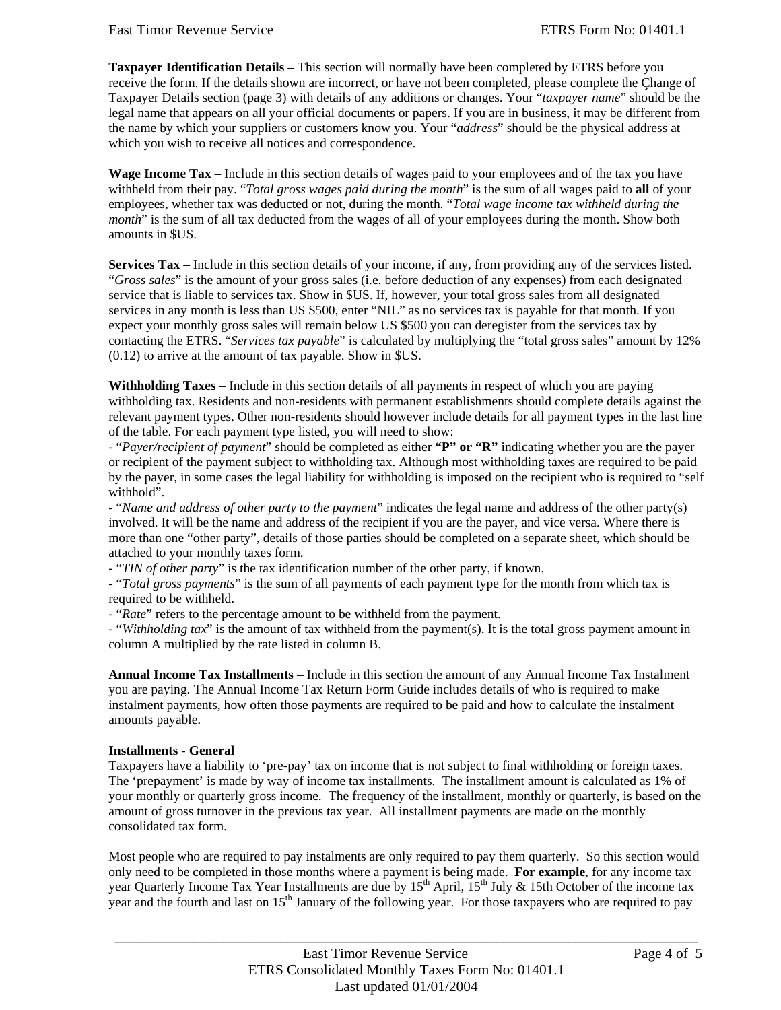**Taxpayer Identification Details** – This section will normally have been completed by ETRS before you receive the form. If the details shown are incorrect, or have not been completed, please complete the Çhange of Taxpayer Details section (page 3) with details of any additions or changes. Your "*taxpayer name*" should be the legal name that appears on all your official documents or papers. If you are in business, it may be different from the name by which your suppliers or customers know you. Your "*address*" should be the physical address at which you wish to receive all notices and correspondence.

**Wage Income Tax** – Include in this section details of wages paid to your employees and of the tax you have withheld from their pay. "*Total gross wages paid during the month*" is the sum of all wages paid to **all** of your employees, whether tax was deducted or not, during the month. "*Total wage income tax withheld during the month*" is the sum of all tax deducted from the wages of all of your employees during the month. Show both amounts in \$US.

**Services Tax** – Include in this section details of your income, if any, from providing any of the services listed. "*Gross sales*" is the amount of your gross sales (i.e. before deduction of any expenses) from each designated service that is liable to services tax. Show in \$US. If, however, your total gross sales from all designated services in any month is less than US \$500, enter "NIL" as no services tax is payable for that month. If you expect your monthly gross sales will remain below US \$500 you can deregister from the services tax by contacting the ETRS. "*Services tax payable*" is calculated by multiplying the "total gross sales" amount by 12% (0.12) to arrive at the amount of tax payable. Show in \$US.

**Withholding Taxes** – Include in this section details of all payments in respect of which you are paying withholding tax. Residents and non-residents with permanent establishments should complete details against the relevant payment types. Other non-residents should however include details for all payment types in the last line of the table. For each payment type listed, you will need to show:

- "*Payer/recipient of payment*" should be completed as either **"P" or "R"** indicating whether you are the payer or recipient of the payment subject to withholding tax. Although most withholding taxes are required to be paid by the payer, in some cases the legal liability for withholding is imposed on the recipient who is required to "self withhold".

- "*Name and address of other party to the payment*" indicates the legal name and address of the other party(s) involved. It will be the name and address of the recipient if you are the payer, and vice versa. Where there is more than one "other party", details of those parties should be completed on a separate sheet, which should be attached to your monthly taxes form.

- "*TIN of other party*" is the tax identification number of the other party, if known.

- "*Total gross payments*" is the sum of all payments of each payment type for the month from which tax is required to be withheld.

- "*Rate*" refers to the percentage amount to be withheld from the payment.

- "*Withholding tax*" is the amount of tax withheld from the payment(s). It is the total gross payment amount in column A multiplied by the rate listed in column B.

**Annual Income Tax Installments** – Include in this section the amount of any Annual Income Tax Instalment you are paying. The Annual Income Tax Return Form Guide includes details of who is required to make instalment payments, how often those payments are required to be paid and how to calculate the instalment amounts payable.

#### **Installments - General**

Taxpayers have a liability to 'pre-pay' tax on income that is not subject to final withholding or foreign taxes. The 'prepayment' is made by way of income tax installments. The installment amount is calculated as 1% of your monthly or quarterly gross income. The frequency of the installment, monthly or quarterly, is based on the amount of gross turnover in the previous tax year. All installment payments are made on the monthly consolidated tax form.

Most people who are required to pay instalments are only required to pay them quarterly. So this section would only need to be completed in those months where a payment is being made. **For example**, for any income tax year Quarterly Income Tax Year Installments are due by  $15<sup>th</sup>$  April,  $15<sup>th</sup>$  July & 15th October of the income tax year and the fourth and last on 15<sup>th</sup> January of the following year. For those taxpayers who are required to pay